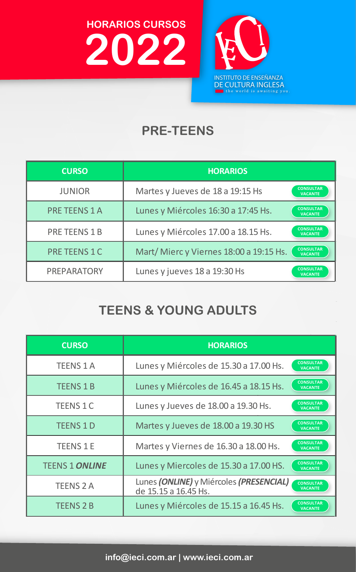**HORARIOS CURSOS 2022**



## **PRE-TEENS**

| <b>CURSO</b>         | <b>HORARIOS</b>                                                             |
|----------------------|-----------------------------------------------------------------------------|
| <b>JUNIOR</b>        | <b>CONSULTAR</b><br>Martes y Jueves de 18 a 19:15 Hs<br><b>VACANTE</b>      |
| <b>PRE TEENS 1 A</b> | <b>CONSULTAR</b><br>Lunes y Miércoles 16:30 a 17:45 Hs.<br><b>VACANTE</b>   |
| <b>PRE TEENS 1 B</b> | <b>CONSULTAR</b><br>Lunes y Miércoles 17.00 a 18.15 Hs.<br><b>VACANTE</b>   |
| <b>PRE TEENS 1 C</b> | <b>CONSULTAR</b><br>Mart/Miercy Viernes 18:00 a 19:15 Hs.<br><b>VACANTE</b> |
| PREPARATORY          | <b>CONSULTAR</b><br>Lunes y jueves 18 a 19:30 Hs<br><b>VACANTE</b>          |

## **TEENS & YOUNG ADULTS**

| <b>CURSO</b>          | <b>HORARIOS</b>                                                                                       |
|-----------------------|-------------------------------------------------------------------------------------------------------|
| <b>TEENS 1 A</b>      | <b>CONSULTAR</b><br>Lunes y Miércoles de 15.30 a 17.00 Hs.<br><b>VACANTE</b>                          |
| <b>TEENS 1 B</b>      | <b>CONSULTAR</b><br>Lunes y Miércoles de 16.45 a 18.15 Hs.<br><b>VACANTE</b>                          |
| <b>TEENS 1 C</b>      | <b>CONSULTAR</b><br>Lunes y Jueves de 18.00 a 19.30 Hs.<br><b>VACANTE</b>                             |
| <b>TEENS 1 D</b>      | <b>CONSULTAR</b><br>Martes y Jueves de 18.00 a 19.30 HS<br><b>VACANTE</b>                             |
| <b>TEENS 1 E</b>      | <b>CONSULTAR</b><br>Martes y Viernes de 16.30 a 18.00 Hs.<br><b>VACANTE</b>                           |
| <b>TEENS 1 ONLINE</b> | <b>CONSULTAR</b><br>Lunes y Miercoles de 15.30 a 17.00 HS.<br><b>VACANTE</b>                          |
| <b>TEENS 2 A</b>      | Lunes (ONLINE) y Miércoles (PRESENCIAL)<br><b>CONSULTAR</b><br><b>VACANTE</b><br>de 15.15 a 16.45 Hs. |
| <b>TEENS 2 B</b>      | <b>CONSULTAR</b><br>Lunes y Miércoles de 15.15 a 16.45 Hs.<br><b>VACANTE</b>                          |